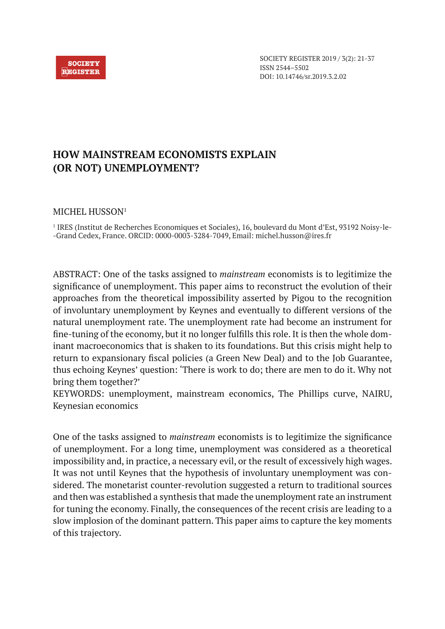

# **HOW MAINSTREAM ECONOMISTS EXPLAIN (OR NOT) UNEMPLOYMENT?**

## MICHEL HUSSON<sup>1</sup>

1 IRES (Institut de Recherches Economiques et Sociales), 16, boulevard du Mont d'Est, 93192 Noisy-le- -Grand Cedex, France. ORCID: 0000-0003-3284-7049, Email: michel.husson@ires.fr

ABSTRACT: One of the tasks assigned to *mainstream* economists is to legitimize the significance of unemployment. This paper aims to reconstruct the evolution of their approaches from the theoretical impossibility asserted by Pigou to the recognition of involuntary unemployment by Keynes and eventually to different versions of the natural unemployment rate. The unemployment rate had become an instrument for fine-tuning of the economy, but it no longer fulfills this role. It is then the whole dominant macroeconomics that is shaken to its foundations. But this crisis might help to return to expansionary fiscal policies (a Green New Deal) and to the Job Guarantee, thus echoing Keynes' question: 'There is work to do; there are men to do it. Why not bring them together?'

KEYWORDS: unemployment, mainstream economics, The Phillips curve, NAIRU, Keynesian economics

One of the tasks assigned to *mainstream* economists is to legitimize the significance of unemployment. For a long time, unemployment was considered as a theoretical impossibility and, in practice, a necessary evil, or the result of excessively high wages. It was not until Keynes that the hypothesis of involuntary unemployment was considered. The monetarist counter-revolution suggested a return to traditional sources and then was established a synthesis that made the unemployment rate an instrument for tuning the economy. Finally, the consequences of the recent crisis are leading to a slow implosion of the dominant pattern. This paper aims to capture the key moments of this trajectory.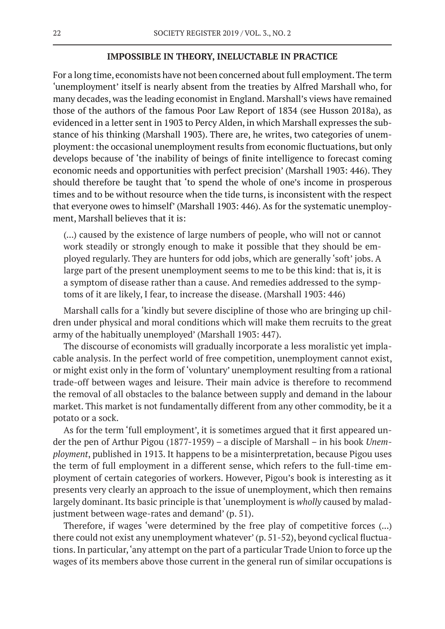#### **IMPOSSIBLE IN THEORY, INELUCTABLE IN PRACTICE**

For a long time, economists have not been concerned about full employment. The term 'unemployment' itself is nearly absent from the treaties by Alfred Marshall who, for many decades, was the leading economist in England. Marshall's views have remained those of the authors of the famous Poor Law Report of 1834 (see Husson 2018a), as evidenced in a letter sent in 1903 to Percy Alden, in which Marshall expresses the substance of his thinking (Marshall 1903). There are, he writes, two categories of unemployment: the occasional unemployment results from economic fluctuations, but only develops because of 'the inability of beings of finite intelligence to forecast coming economic needs and opportunities with perfect precision' (Marshall 1903: 446). They should therefore be taught that 'to spend the whole of one's income in prosperous times and to be without resource when the tide turns, is inconsistent with the respect that everyone owes to himself' (Marshall 1903: 446). As for the systematic unemployment, Marshall believes that it is:

(...) caused by the existence of large numbers of people, who will not or cannot work steadily or strongly enough to make it possible that they should be employed regularly. They are hunters for odd jobs, which are generally 'soft' jobs. A large part of the present unemployment seems to me to be this kind: that is, it is a symptom of disease rather than a cause. And remedies addressed to the symptoms of it are likely, I fear, to increase the disease. (Marshall 1903: 446)

Marshall calls for a 'kindly but severe discipline of those who are bringing up children under physical and moral conditions which will make them recruits to the great army of the habitually unemployed' (Marshall 1903: 447).

The discourse of economists will gradually incorporate a less moralistic yet implacable analysis. In the perfect world of free competition, unemployment cannot exist, or might exist only in the form of 'voluntary' unemployment resulting from a rational trade-off between wages and leisure. Their main advice is therefore to recommend the removal of all obstacles to the balance between supply and demand in the labour market. This market is not fundamentally different from any other commodity, be it a potato or a sock.

As for the term 'full employment', it is sometimes argued that it first appeared under the pen of Arthur Pigou (1877-1959) – a disciple of Marshall – in his book *Unemployment*, published in 1913. It happens to be a misinterpretation, because Pigou uses the term of full employment in a different sense, which refers to the full-time employment of certain categories of workers. However, Pigou's book is interesting as it presents very clearly an approach to the issue of unemployment, which then remains largely dominant. Its basic principle is that 'unemployment is *wholly* caused by maladjustment between wage-rates and demand' (p. 51).

Therefore, if wages 'were determined by the free play of competitive forces (...) there could not exist any unemployment whatever' (p. 51-52), beyond cyclical fluctuations. In particular, 'any attempt on the part of a particular Trade Union to force up the wages of its members above those current in the general run of similar occupations is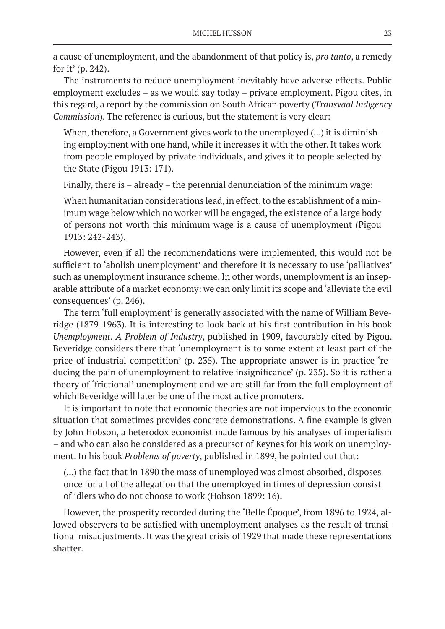a cause of unemployment, and the abandonment of that policy is, *pro tanto*, a remedy for it' (p. 242).

The instruments to reduce unemployment inevitably have adverse effects. Public employment excludes – as we would say today – private employment. Pigou cites, in this regard, a report by the commission on South African poverty (*Transvaal Indigency Commission*). The reference is curious, but the statement is very clear:

When, therefore, a Government gives work to the unemployed (...) it is diminishing employment with one hand, while it increases it with the other. It takes work from people employed by private individuals, and gives it to people selected by the State (Pigou 1913: 171).

Finally, there is – already – the perennial denunciation of the minimum wage:

When humanitarian considerations lead, in effect, to the establishment of a minimum wage below which no worker will be engaged, the existence of a large body of persons not worth this minimum wage is a cause of unemployment (Pigou 1913: 242-243).

However, even if all the recommendations were implemented, this would not be sufficient to 'abolish unemployment' and therefore it is necessary to use 'palliatives' such as unemployment insurance scheme. In other words, unemployment is an inseparable attribute of a market economy: we can only limit its scope and 'alleviate the evil consequences' (p. 246).

The term 'full employment' is generally associated with the name of William Beveridge (1879-1963). It is interesting to look back at his first contribution in his book *Unemployment*. *A Problem of Industry*, published in 1909, favourably cited by Pigou. Beveridge considers there that 'unemployment is to some extent at least part of the price of industrial competition' (p. 235). The appropriate answer is in practice 'reducing the pain of unemployment to relative insignificance' (p. 235). So it is rather a theory of 'frictional' unemployment and we are still far from the full employment of which Beveridge will later be one of the most active promoters.

It is important to note that economic theories are not impervious to the economic situation that sometimes provides concrete demonstrations. A fine example is given by John Hobson, a heterodox economist made famous by his analyses of imperialism – and who can also be considered as a precursor of Keynes for his work on unemployment. In his book *Problems of poverty*, published in 1899, he pointed out that:

(...) the fact that in 1890 the mass of unemployed was almost absorbed, disposes once for all of the allegation that the unemployed in times of depression consist of idlers who do not choose to work (Hobson 1899: 16).

However, the prosperity recorded during the 'Belle Époque', from 1896 to 1924, allowed observers to be satisfied with unemployment analyses as the result of transitional misadjustments. It was the great crisis of 1929 that made these representations shatter.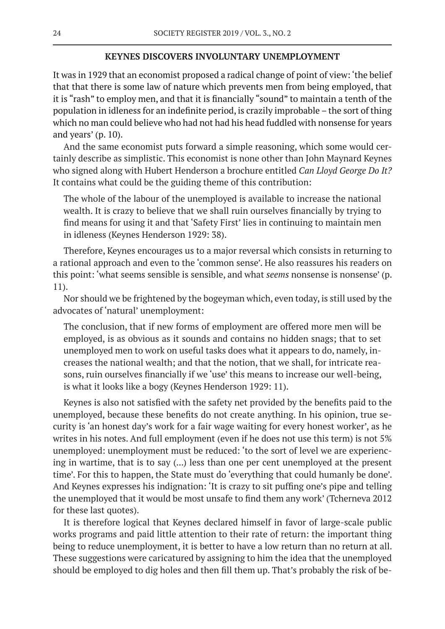## **KEYNES DISCOVERS INVOLUNTARY UNEMPLOYMENT**

It was in 1929 that an economist proposed a radical change of point of view: 'the belief that that there is some law of nature which prevents men from being employed, that it is "rash" to employ men, and that it is financially "sound" to maintain a tenth of the population in idleness for an indefinite period, is crazily improbable – the sort of thing which no man could believe who had not had his head fuddled with nonsense for years and years' (p. 10).

And the same economist puts forward a simple reasoning, which some would certainly describe as simplistic. This economist is none other than John Maynard Keynes who signed along with Hubert Henderson a brochure entitled *Can Lloyd George Do It?* It contains what could be the guiding theme of this contribution:

The whole of the labour of the unemployed is available to increase the national wealth. It is crazy to believe that we shall ruin ourselves financially by trying to find means for using it and that 'Safety First' lies in continuing to maintain men in idleness (Keynes Henderson 1929: 38).

Therefore, Keynes encourages us to a major reversal which consists in returning to a rational approach and even to the 'common sense'. He also reassures his readers on this point: 'what seems sensible is sensible, and what *seems* nonsense is nonsense' (p. 11).

Nor should we be frightened by the bogeyman which, even today, is still used by the advocates of 'natural' unemployment:

The conclusion, that if new forms of employment are offered more men will be employed, is as obvious as it sounds and contains no hidden snags; that to set unemployed men to work on useful tasks does what it appears to do, namely, increases the national wealth; and that the notion, that we shall, for intricate reasons, ruin ourselves financially if we 'use' this means to increase our well-being, is what it looks like a bogy (Keynes Henderson 1929: 11).

Keynes is also not satisfied with the safety net provided by the benefits paid to the unemployed, because these benefits do not create anything. In his opinion, true security is 'an honest day's work for a fair wage waiting for every honest worker', as he writes in his notes. And full employment (even if he does not use this term) is not 5% unemployed: unemployment must be reduced: 'to the sort of level we are experiencing in wartime, that is to say (...) less than one per cent unemployed at the present time'. For this to happen, the State must do 'everything that could humanly be done'. And Keynes expresses his indignation: 'It is crazy to sit puffing one's pipe and telling the unemployed that it would be most unsafe to find them any work' (Tcherneva 2012 for these last quotes).

It is therefore logical that Keynes declared himself in favor of large-scale public works programs and paid little attention to their rate of return: the important thing being to reduce unemployment, it is better to have a low return than no return at all. These suggestions were caricatured by assigning to him the idea that the unemployed should be employed to dig holes and then fill them up. That's probably the risk of be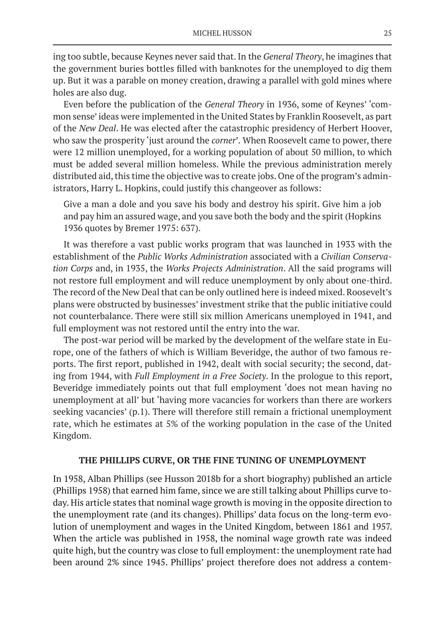ing too subtle, because Keynes never said that. In the *General Theory*, he imagines that the government buries bottles filled with banknotes for the unemployed to dig them up. But it was a parable on money creation, drawing a parallel with gold mines where holes are also dug.

Even before the publication of the *General Theory* in 1936, some of Keynes' 'common sense' ideas were implemented in the United States by Franklin Roosevelt, as part of the *New Deal*. He was elected after the catastrophic presidency of Herbert Hoover, who saw the prosperity 'just around the *corner*'*.* When Roosevelt came to power, there were 12 million unemployed, for a working population of about 50 million, to which must be added several million homeless. While the previous administration merely distributed aid, this time the objective was to create jobs. One of the program's administrators, Harry L. Hopkins, could justify this changeover as follows:

Give a man a dole and you save his body and destroy his spirit. Give him a job and pay him an assured wage, and you save both the body and the spirit (Hopkins 1936 quotes by Bremer 1975: 637).

It was therefore a vast public works program that was launched in 1933 with the establishment of the *Public Works Administration* associated with a *Civilian Conservation Corps* and, in 1935, the *Works Projects Administration*. All the said programs will not restore full employment and will reduce unemployment by only about one-third. The record of the New Deal that can be only outlined here is indeed mixed. Roosevelt's plans were obstructed by businesses' investment strike that the public initiative could not counterbalance. There were still six million Americans unemployed in 1941, and full employment was not restored until the entry into the war.

The post-war period will be marked by the development of the welfare state in Europe, one of the fathers of which is William Beveridge, the author of two famous reports. The first report, published in 1942, dealt with social security; the second, dating from 1944, with *Full Employment in a Free Society*. In the prologue to this report, Beveridge immediately points out that full employment 'does not mean having no unemployment at all' but 'having more vacancies for workers than there are workers seeking vacancies' (p.1). There will therefore still remain a frictional unemployment rate, which he estimates at 5% of the working population in the case of the United Kingdom.

## **THE PHILLIPS CURVE, OR THE FINE TUNING OF UNEMPLOYMENT**

In 1958, Alban Phillips (see Husson 2018b for a short biography) published an article (Phillips 1958) that earned him fame, since we are still talking about Phillips curve today. His article states that nominal wage growth is moving in the opposite direction to the unemployment rate (and its changes). Phillips' data focus on the long-term evolution of unemployment and wages in the United Kingdom, between 1861 and 1957. When the article was published in 1958, the nominal wage growth rate was indeed quite high, but the country was close to full employment: the unemployment rate had been around 2% since 1945. Phillips' project therefore does not address a contem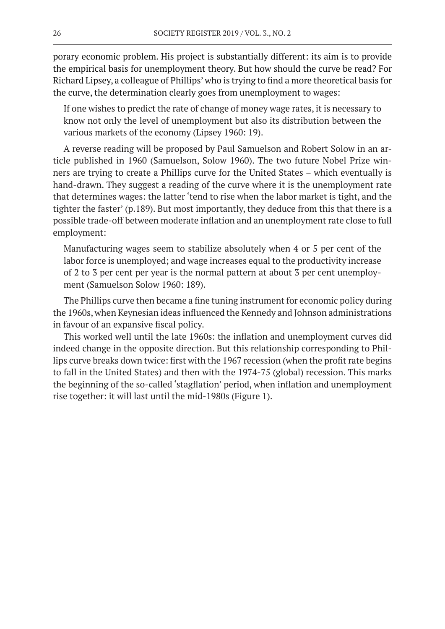porary economic problem. His project is substantially different: its aim is to provide the empirical basis for unemployment theory. But how should the curve be read? For Richard Lipsey, a colleague of Phillips' who is trying to find a more theoretical basis for the curve, the determination clearly goes from unemployment to wages:

If one wishes to predict the rate of change of money wage rates, it is necessary to know not only the level of unemployment but also its distribution between the various markets of the economy (Lipsey 1960: 19).

A reverse reading will be proposed by Paul Samuelson and Robert Solow in an article published in 1960 (Samuelson, Solow 1960). The two future Nobel Prize winners are trying to create a Phillips curve for the United States – which eventually is hand-drawn. They suggest a reading of the curve where it is the unemployment rate that determines wages: the latter 'tend to rise when the labor market is tight, and the tighter the faster' (p.189). But most importantly, they deduce from this that there is a possible trade-off between moderate inflation and an unemployment rate close to full employment:

Manufacturing wages seem to stabilize absolutely when 4 or 5 per cent of the labor force is unemployed; and wage increases equal to the productivity increase of 2 to 3 per cent per year is the normal pattern at about 3 per cent unemployment (Samuelson Solow 1960: 189).

The Phillips curve then became a fine tuning instrument for economic policy during the 1960s, when Keynesian ideas influenced the Kennedy and Johnson administrations in favour of an expansive fiscal policy.

This worked well until the late 1960s: the inflation and unemployment curves did indeed change in the opposite direction. But this relationship corresponding to Phillips curve breaks down twice: first with the 1967 recession (when the profit rate begins to fall in the United States) and then with the 1974-75 (global) recession. This marks the beginning of the so-called 'stagflation' period, when inflation and unemployment rise together: it will last until the mid-1980s (Figure 1).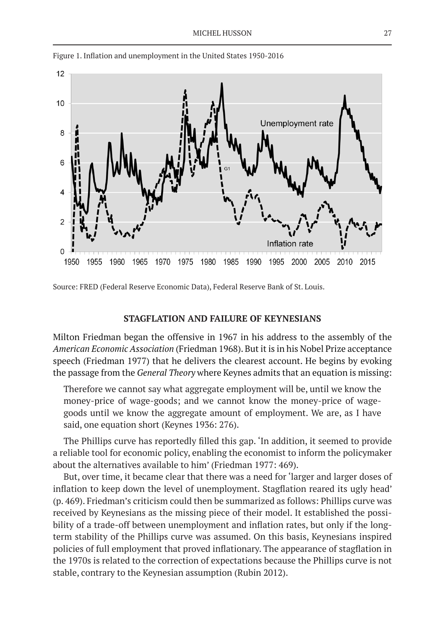

Figure 1. Inflation and unemployment in the United States 1950-2016

Source: FRED (Federal Reserve Economic Data), Federal Reserve Bank of St. Louis.

#### **STAGFLATION AND FAILURE OF KEYNESIANS**

Milton Friedman began the offensive in 1967 in his address to the assembly of the *American Economic Association* (Friedman 1968). But it is in his Nobel Prize acceptance speech (Friedman 1977) that he delivers the clearest account. He begins by evoking the passage from the *General Theory* where Keynes admits that an equation is missing:

Therefore we cannot say what aggregate employment will be, until we know the money-price of wage-goods; and we cannot know the money-price of wagegoods until we know the aggregate amount of employment. We are, as I have said, one equation short (Keynes 1936: 276).

The Phillips curve has reportedly filled this gap. 'In addition, it seemed to provide a reliable tool for economic policy, enabling the economist to inform the policymaker about the alternatives available to him' (Friedman 1977: 469).

But, over time, it became clear that there was a need for 'larger and larger doses of inflation to keep down the level of unemployment. Stagflation reared its ugly head' (p. 469). Friedman's criticism could then be summarized as follows: Phillips curve was received by Keynesians as the missing piece of their model. It established the possibility of a trade-off between unemployment and inflation rates, but only if the longterm stability of the Phillips curve was assumed. On this basis, Keynesians inspired policies of full employment that proved inflationary. The appearance of stagflation in the 1970s is related to the correction of expectations because the Phillips curve is not stable, contrary to the Keynesian assumption (Rubin 2012).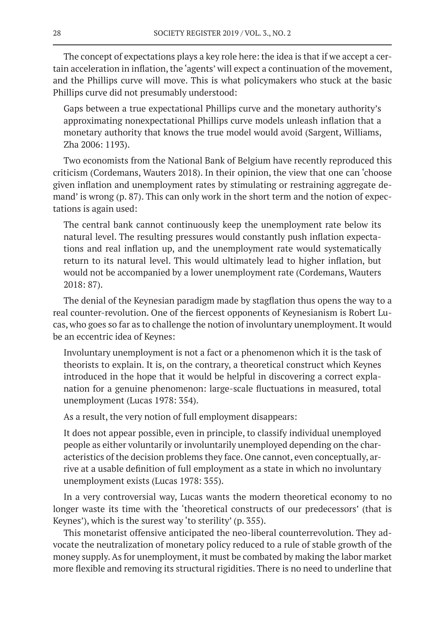The concept of expectations plays a key role here: the idea is that if we accept a certain acceleration in inflation, the 'agents' will expect a continuation of the movement, and the Phillips curve will move. This is what policymakers who stuck at the basic Phillips curve did not presumably understood:

Gaps between a true expectational Phillips curve and the monetary authority's approximating nonexpectational Phillips curve models unleash inflation that a monetary authority that knows the true model would avoid (Sargent, Williams, Zha 2006: 1193).

Two economists from the National Bank of Belgium have recently reproduced this criticism (Cordemans, Wauters 2018). In their opinion, the view that one can 'choose given inflation and unemployment rates by stimulating or restraining aggregate demand' is wrong (p. 87). This can only work in the short term and the notion of expectations is again used:

The central bank cannot continuously keep the unemployment rate below its natural level. The resulting pressures would constantly push inflation expectations and real inflation up, and the unemployment rate would systematically return to its natural level. This would ultimately lead to higher inflation, but would not be accompanied by a lower unemployment rate (Cordemans, Wauters 2018: 87).

The denial of the Keynesian paradigm made by stagflation thus opens the way to a real counter-revolution. One of the fiercest opponents of Keynesianism is Robert Lucas, who goes so far as to challenge the notion of involuntary unemployment. It would be an eccentric idea of Keynes:

Involuntary unemployment is not a fact or a phenomenon which it is the task of theorists to explain. It is, on the contrary, a theoretical construct which Keynes introduced in the hope that it would be helpful in discovering a correct explanation for a genuine phenomenon: large-scale fluctuations in measured, total unemployment (Lucas 1978: 354).

As a result, the very notion of full employment disappears:

It does not appear possible, even in principle, to classify individual unemployed people as either voluntarily or involuntarily unemployed depending on the characteristics of the decision problems they face. One cannot, even conceptually, arrive at a usable definition of full employment as a state in which no involuntary unemployment exists (Lucas 1978: 355).

In a very controversial way, Lucas wants the modern theoretical economy to no longer waste its time with the 'theoretical constructs of our predecessors' (that is Keynes'), which is the surest way 'to sterility' (p. 355).

This monetarist offensive anticipated the neo-liberal counterrevolution. They advocate the neutralization of monetary policy reduced to a rule of stable growth of the money supply. As for unemployment, it must be combated by making the labor market more flexible and removing its structural rigidities. There is no need to underline that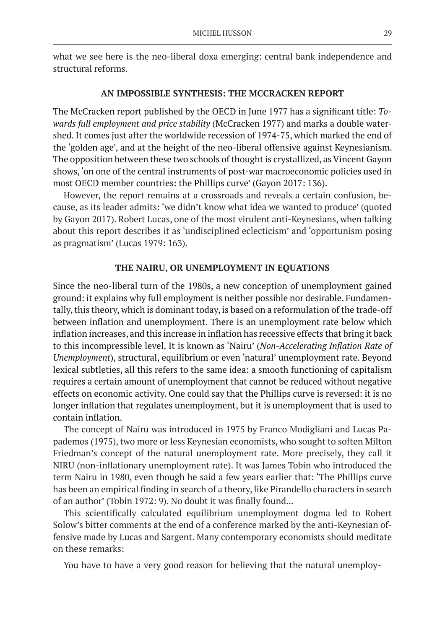what we see here is the neo-liberal doxa emerging: central bank independence and structural reforms.

## **AN IMPOSSIBLE SYNTHESIS: THE MCCRACKEN REPORT**

The McCracken report published by the OECD in June 1977 has a significant title: *Towards full employment and price stability* (McCracken 1977) and marks a double watershed. It comes just after the worldwide recession of 1974-75, which marked the end of the 'golden age', and at the height of the neo-liberal offensive against Keynesianism. The opposition between these two schools of thought is crystallized, as Vincent Gayon shows, 'on one of the central instruments of post-war macroeconomic policies used in most OECD member countries: the Phillips curve' (Gayon 2017: 136).

However, the report remains at a crossroads and reveals a certain confusion, because, as its leader admits: 'we didn't know what idea we wanted to produce' (quoted by Gayon 2017). Robert Lucas, one of the most virulent anti-Keynesians, when talking about this report describes it as 'undisciplined eclecticism' and 'opportunism posing as pragmatism' (Lucas 1979: 163).

## **THE NAIRU, OR UNEMPLOYMENT IN EQUATIONS**

Since the neo-liberal turn of the 1980s, a new conception of unemployment gained ground: it explains why full employment is neither possible nor desirable. Fundamentally, this theory, which is dominant today, is based on a reformulation of the trade-off between inflation and unemployment. There is an unemployment rate below which inflation increases, and this increase in inflation has recessive effects that bring it back to this incompressible level. It is known as 'Nairu' (*Non-Accelerating Inflation Rate of Unemployment*), structural, equilibrium or even 'natural' unemployment rate. Beyond lexical subtleties, all this refers to the same idea: a smooth functioning of capitalism requires a certain amount of unemployment that cannot be reduced without negative effects on economic activity. One could say that the Phillips curve is reversed: it is no longer inflation that regulates unemployment, but it is unemployment that is used to contain inflation.

The concept of Nairu was introduced in 1975 by Franco Modigliani and Lucas Papademos (1975), two more or less Keynesian economists, who sought to soften Milton Friedman's concept of the natural unemployment rate. More precisely, they call it NIRU (non-inflationary unemployment rate). It was James Tobin who introduced the term Nairu in 1980, even though he said a few years earlier that: 'The Phillips curve has been an empirical finding in search of a theory, like Pirandello characters in search of an author' (Tobin 1972: 9). No doubt it was finally found...

This scientifically calculated equilibrium unemployment dogma led to Robert Solow's bitter comments at the end of a conference marked by the anti-Keynesian offensive made by Lucas and Sargent. Many contemporary economists should meditate on these remarks:

You have to have a very good reason for believing that the natural unemploy-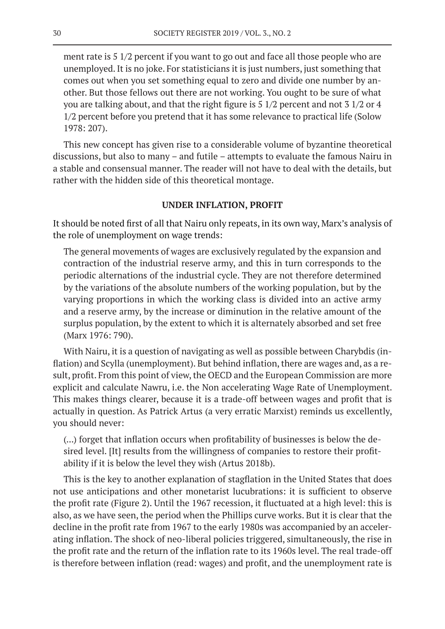ment rate is 5 1/2 percent if you want to go out and face all those people who are unemployed. It is no joke. For statisticians it is just numbers, just something that comes out when you set something equal to zero and divide one number by another. But those fellows out there are not working. You ought to be sure of what you are talking about, and that the right figure is 5 1/2 percent and not 3 1/2 or 4 1/2 percent before you pretend that it has some relevance to practical life (Solow 1978: 207).

This new concept has given rise to a considerable volume of byzantine theoretical discussions, but also to many – and futile – attempts to evaluate the famous Nairu in a stable and consensual manner. The reader will not have to deal with the details, but rather with the hidden side of this theoretical montage.

## **UNDER INFLATION, PROFIT**

It should be noted first of all that Nairu only repeats, in its own way, Marx's analysis of the role of unemployment on wage trends:

The general movements of wages are exclusively regulated by the expansion and contraction of the industrial reserve army, and this in turn corresponds to the periodic alternations of the industrial cycle. They are not therefore determined by the variations of the absolute numbers of the working population, but by the varying proportions in which the working class is divided into an active army and a reserve army, by the increase or diminution in the relative amount of the surplus population, by the extent to which it is alternately absorbed and set free (Marx 1976: 790).

With Nairu, it is a question of navigating as well as possible between Charybdis (inflation) and Scylla (unemployment). But behind inflation, there are wages and, as a result, profit. From this point of view, the OECD and the European Commission are more explicit and calculate Nawru, i.e. the Non accelerating Wage Rate of Unemployment. This makes things clearer, because it is a trade-off between wages and profit that is actually in question. As Patrick Artus (a very erratic Marxist) reminds us excellently, you should never:

(...) forget that inflation occurs when profitability of businesses is below the desired level. [It] results from the willingness of companies to restore their profitability if it is below the level they wish (Artus 2018b).

This is the key to another explanation of stagflation in the United States that does not use anticipations and other monetarist lucubrations: it is sufficient to observe the profit rate (Figure 2). Until the 1967 recession, it fluctuated at a high level: this is also, as we have seen, the period when the Phillips curve works. But it is clear that the decline in the profit rate from 1967 to the early 1980s was accompanied by an accelerating inflation. The shock of neo-liberal policies triggered, simultaneously, the rise in the profit rate and the return of the inflation rate to its 1960s level. The real trade-off is therefore between inflation (read: wages) and profit, and the unemployment rate is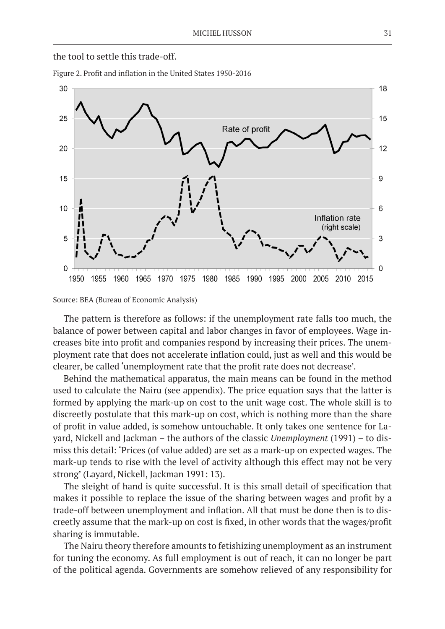

Figure 2. Profit and inflation in the United States 1950-2016



Source: BEA (Bureau of Economic Analysis)

The pattern is therefore as follows: if the unemployment rate falls too much, the balance of power between capital and labor changes in favor of employees. Wage increases bite into profit and companies respond by increasing their prices. The unemployment rate that does not accelerate inflation could, just as well and this would be clearer, be called 'unemployment rate that the profit rate does not decrease'.

Behind the mathematical apparatus, the main means can be found in the method used to calculate the Nairu (see appendix). The price equation says that the latter is formed by applying the mark-up on cost to the unit wage cost. The whole skill is to discreetly postulate that this mark-up on cost, which is nothing more than the share of profit in value added, is somehow untouchable. It only takes one sentence for Layard, Nickell and Jackman – the authors of the classic *Unemployment* (1991) – to dismiss this detail: 'Prices (of value added) are set as a mark-up on expected wages. The mark-up tends to rise with the level of activity although this effect may not be very strong' (Layard, Nickell, Jackman 1991: 13).

The sleight of hand is quite successful. It is this small detail of specification that makes it possible to replace the issue of the sharing between wages and profit by a trade-off between unemployment and inflation. All that must be done then is to discreetly assume that the mark-up on cost is fixed, in other words that the wages/profit sharing is immutable.

The Nairu theory therefore amounts to fetishizing unemployment as an instrument for tuning the economy. As full employment is out of reach, it can no longer be part of the political agenda. Governments are somehow relieved of any responsibility for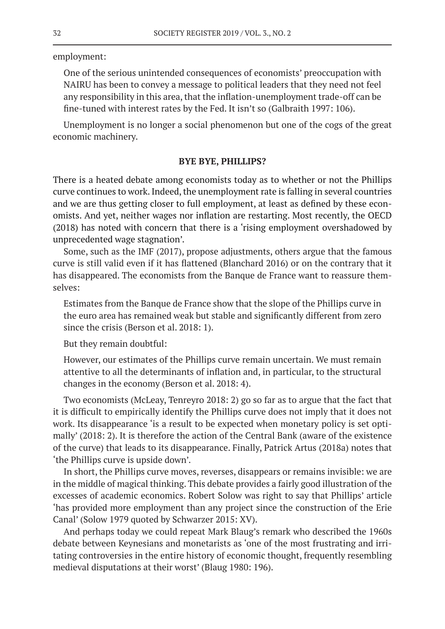employment:

One of the serious unintended consequences of economists' preoccupation with NAIRU has been to convey a message to political leaders that they need not feel any responsibility in this area, that the inflation-unemployment trade-off can be fine-tuned with interest rates by the Fed. It isn't so (Galbraith 1997: 106).

Unemployment is no longer a social phenomenon but one of the cogs of the great economic machinery.

## **BYE BYE, PHILLIPS?**

There is a heated debate among economists today as to whether or not the Phillips curve continues to work. Indeed, the unemployment rate is falling in several countries and we are thus getting closer to full employment, at least as defined by these economists. And yet, neither wages nor inflation are restarting. Most recently, the OECD (2018) has noted with concern that there is a 'rising employment overshadowed by unprecedented wage stagnation'.

Some, such as the IMF (2017), propose adjustments, others argue that the famous curve is still valid even if it has flattened (Blanchard 2016) or on the contrary that it has disappeared. The economists from the Banque de France want to reassure themselves:

Estimates from the Banque de France show that the slope of the Phillips curve in the euro area has remained weak but stable and significantly different from zero since the crisis (Berson et al. 2018: 1).

But they remain doubtful:

However, our estimates of the Phillips curve remain uncertain. We must remain attentive to all the determinants of inflation and, in particular, to the structural changes in the economy (Berson et al. 2018: 4).

Two economists (McLeay, Tenreyro 2018: 2) go so far as to argue that the fact that it is difficult to empirically identify the Phillips curve does not imply that it does not work. Its disappearance 'is a result to be expected when monetary policy is set optimally' (2018: 2). It is therefore the action of the Central Bank (aware of the existence of the curve) that leads to its disappearance. Finally, Patrick Artus (2018a) notes that 'the Phillips curve is upside down'.

In short, the Phillips curve moves, reverses, disappears or remains invisible: we are in the middle of magical thinking. This debate provides a fairly good illustration of the excesses of academic economics. Robert Solow was right to say that Phillips' article 'has provided more employment than any project since the construction of the Erie Canal' (Solow 1979 quoted by Schwarzer 2015: XV).

And perhaps today we could repeat Mark Blaug's remark who described the 1960s debate between Keynesians and monetarists as 'one of the most frustrating and irritating controversies in the entire history of economic thought, frequently resembling medieval disputations at their worst' (Blaug 1980: 196).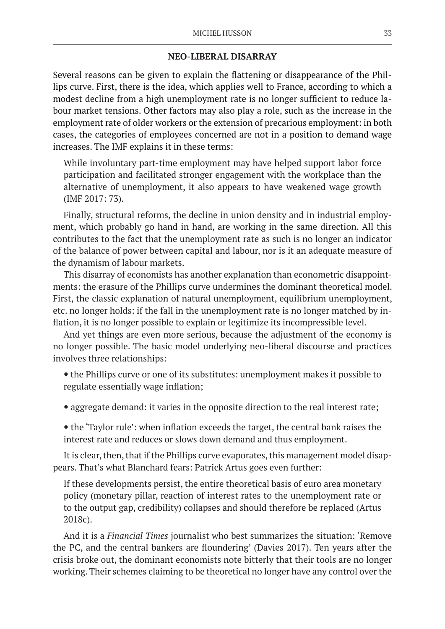## **NEO-LIBERAL DISARRAY**

Several reasons can be given to explain the flattening or disappearance of the Phillips curve. First, there is the idea, which applies well to France, according to which a modest decline from a high unemployment rate is no longer sufficient to reduce labour market tensions. Other factors may also play a role, such as the increase in the employment rate of older workers or the extension of precarious employment: in both cases, the categories of employees concerned are not in a position to demand wage increases. The IMF explains it in these terms:

While involuntary part-time employment may have helped support labor force participation and facilitated stronger engagement with the workplace than the alternative of unemployment, it also appears to have weakened wage growth (IMF 2017: 73).

Finally, structural reforms, the decline in union density and in industrial employment, which probably go hand in hand, are working in the same direction. All this contributes to the fact that the unemployment rate as such is no longer an indicator of the balance of power between capital and labour, nor is it an adequate measure of the dynamism of labour markets.

This disarray of economists has another explanation than econometric disappointments: the erasure of the Phillips curve undermines the dominant theoretical model. First, the classic explanation of natural unemployment, equilibrium unemployment, etc. no longer holds: if the fall in the unemployment rate is no longer matched by inflation, it is no longer possible to explain or legitimize its incompressible level.

And yet things are even more serious, because the adjustment of the economy is no longer possible. The basic model underlying neo-liberal discourse and practices involves three relationships:

- the Phillips curve or one of its substitutes: unemployment makes it possible to regulate essentially wage inflation;
- aggregate demand: it varies in the opposite direction to the real interest rate;
- the 'Taylor rule': when inflation exceeds the target, the central bank raises the interest rate and reduces or slows down demand and thus employment.

It is clear, then, that if the Phillips curve evaporates, this management model disappears. That's what Blanchard fears: Patrick Artus goes even further:

If these developments persist, the entire theoretical basis of euro area monetary policy (monetary pillar, reaction of interest rates to the unemployment rate or to the output gap, credibility) collapses and should therefore be replaced (Artus 2018c).

And it is a *Financial Times* journalist who best summarizes the situation: 'Remove the PC, and the central bankers are floundering' (Davies 2017). Ten years after the crisis broke out, the dominant economists note bitterly that their tools are no longer working. Their schemes claiming to be theoretical no longer have any control over the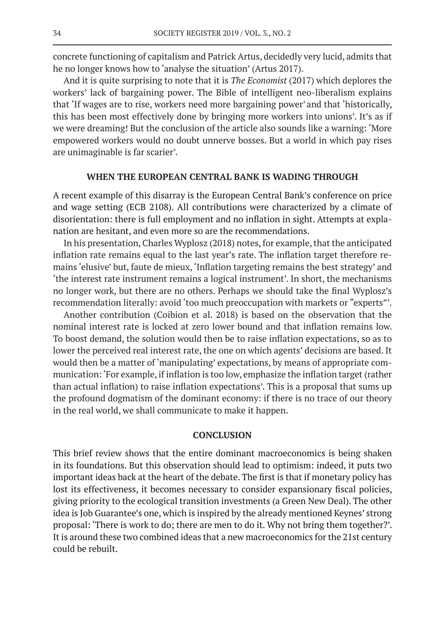concrete functioning of capitalism and Patrick Artus, decidedly very lucid, admits that he no longer knows how to 'analyse the situation' (Artus 2017).

And it is quite surprising to note that it is *The Economist* (2017) which deplores the workers' lack of bargaining power. The Bible of intelligent neo-liberalism explains that 'If wages are to rise, workers need more bargaining power'and that 'historically, this has been most effectively done by bringing more workers into unions'. It's as if we were dreaming! But the conclusion of the article also sounds like a warning: 'More empowered workers would no doubt unnerve bosses. But a world in which pay rises are unimaginable is far scarier'.

## **WHEN THE EUROPEAN CENTRAL BANK IS WADING THROUGH**

A recent example of this disarray is the European Central Bank's conference on price and wage setting (ECB 2108). All contributions were characterized by a climate of disorientation: there is full employment and no inflation in sight. Attempts at explanation are hesitant, and even more so are the recommendations.

In his presentation, Charles Wyplosz (2018) notes, for example, that the anticipated inflation rate remains equal to the last year's rate. The inflation target therefore remains 'elusive' but, faute de mieux, 'Inflation targeting remains the best strategy' and 'the interest rate instrument remains a logical instrument'. In short, the mechanisms no longer work, but there are no others. Perhaps we should take the final Wyplosz's recommendation literally: avoid 'too much preoccupation with markets or "experts"'.

Another contribution (Coibion et al. 2018) is based on the observation that the nominal interest rate is locked at zero lower bound and that inflation remains low. To boost demand, the solution would then be to raise inflation expectations, so as to lower the perceived real interest rate, the one on which agents' decisions are based. It would then be a matter of 'manipulating' expectations, by means of appropriate communication: 'For example, if inflation is too low, emphasize the inflation target (rather than actual inflation) to raise inflation expectations'. This is a proposal that sums up the profound dogmatism of the dominant economy: if there is no trace of our theory in the real world, we shall communicate to make it happen.

## **CONCLUSION**

This brief review shows that the entire dominant macroeconomics is being shaken in its foundations. But this observation should lead to optimism: indeed, it puts two important ideas back at the heart of the debate. The first is that if monetary policy has lost its effectiveness, it becomes necessary to consider expansionary fiscal policies, giving priority to the ecological transition investments (a Green New Deal). The other idea is Job Guarantee's one, which is inspired by the already mentioned Keynes' strong proposal: 'There is work to do; there are men to do it. Why not bring them together?'. It is around these two combined ideas that a new macroeconomics for the 21st century could be rebuilt.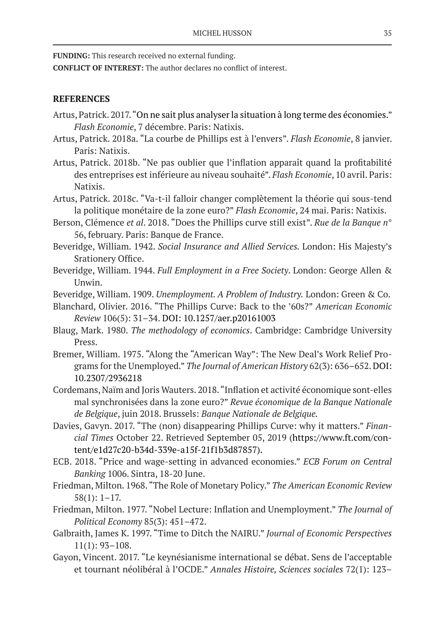**FUNDING:** This research received no external funding.

**CONFLICT OF INTEREST:** The author declares no conflict of interest.

# **REFERENCES**

- Artus, Patrick. 2017. "On ne sait plus analyser la situation à long terme des économies." *Flash Economie*, 7 décembre. Paris: Natixis.
- Artus, Patrick. 2018a. "La courbe de Phillips est à l'envers". *Flash Economie*, 8 janvier. Paris: Natixis.
- Artus, Patrick. 2018b. "Ne pas oublier que l'inflation apparaît quand la profitabilité des entreprises est inférieure au niveau souhaité". *Flash Economie*, 10 avril. Paris: Natixis.
- Artus, Patrick. 2018c. "Va-t-il falloir changer complètement la théorie qui sous-tend la politique monétaire de la zone euro?" *Flash Economie*, 24 mai. Paris: Natixis.
- Berson, Clémence *et al*. 2018. "Does the Phillips curve still exist". *Rue de la Banque n*° 56, february. Paris: Banque de France.
- Beveridge, William. 1942. *Social Insurance and Allied Services.* London: His Majesty's Srationery Office.
- Beveridge, William. 1944. *Full Employment in a Free Society*. London: George Allen & Unwin.
- Beveridge, William. 1909. *Unemployment. A Problem of Industry.* London: Green & Co.
- Blanchard, Olivier. 2016. "The Phillips Curve: Back to the '60s?" *American Economic Review* 106(5): 31–34. DOI: 10.1257/aer.p20161003
- Blaug, Mark. 1980. *The methodology of economics*. Cambridge: Cambridge University Press.
- Bremer, William. 1975. "Along the "American Way": The New Deal's Work Relief Programs for the Unemployed." *The Journal of American History* 62(3): 636–652. DOI: 10.2307/2936218
- Cordemans, Naïm and Joris Wauters. 2018. "Inflation et activité économique sont-elles mal synchronisées dans la zone euro?" *Revue économique de la Banque Nationale de Belgique*, juin 2018. Brussels: *Banque Nationale de Belgique.*
- Davies, Gavyn. 2017. "The (non) disappearing Phillips Curve: why it matters." *Financial Times* October 22. Retrieved September 05, 2019 (https://www.ft.com/content/e1d27c20-b34d-339e-a15f-21f1b3d87857).
- ECB. 2018. "Price and wage-setting in advanced economies." *ECB Forum on Central Banking* 1006. Sintra, 18-20 June.
- Friedman, Milton. 1968. "The Role of Monetary Policy." *The American Economic Review* 58(1): 1–17.
- Friedman, Milton. 1977. "Nobel Lecture: Inflation and Unemployment." *The Journal of Political Economy* 85(3): 451–472.
- Galbraith, James K. 1997. "Time to Ditch the NAIRU." *Journal of Economic Perspectives* 11(1): 93–108.
- Gayon, Vincent. 2017. "Le keynésianisme international se débat. Sens de l'acceptable et tournant néolibéral à l'OCDE." *Annales Histoire, Sciences sociales* 72(1): 123–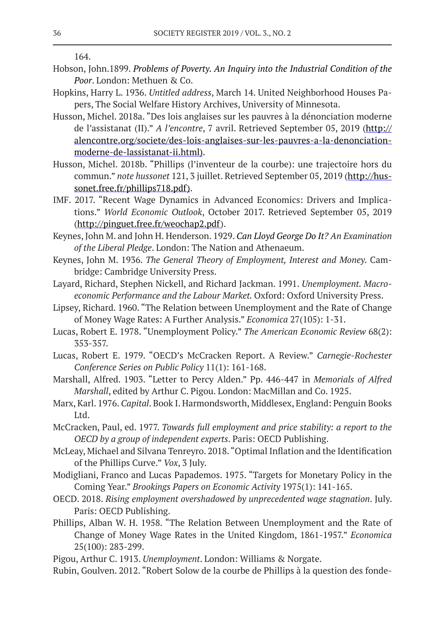164.

- Hobson, John.1899. *Problems of Poverty. An Inquiry into the Industrial Condition of the Poor*. London: Methuen & Co.
- Hopkins, Harry L. 1936. *Untitled address*, March 14. United Neighborhood Houses Papers, The Social Welfare History Archives, University of Minnesota.
- Husson, Michel. 2018a. "Des lois anglaises sur les pauvres à la dénonciation moderne de l'assistanat (II)." *A l'encontre*, 7 avril. Retrieved September 05, 2019 (http:// alencontre.org/societe/des-lois-anglaises-sur-les-pauvres-a-la-denonciationmoderne-de-lassistanat-ii.html).
- Husson, Michel. 2018b. "Phillips (l'inventeur de la courbe): une trajectoire hors du commun." *note hussonet* 121, 3 juillet. Retrieved September 05, 2019 (http://hussonet.free.fr/phillips718.pdf).
- IMF. 2017. "Recent Wage Dynamics in Advanced Economics: Drivers and Implications." *World Economic Outlook*, October 2017. Retrieved September 05, 2019 (http://pinguet.free.fr/weochap2.pdf).
- Keynes, John M. and John H. Henderson. 1929. *Can Lloyd George Do It? An Examination of the Liberal Pledge*. London: The Nation and Athenaeum.
- Keynes, John M. 1936. *The General Theory of Employment, Interest and Money.* Cambridge: Cambridge University Press.
- Layard, Richard, Stephen Nickell, and Richard Jackman. 1991. *Unemployment. Macroeconomic Performance and the Labour Market.* Oxford: Oxford University Press.
- Lipsey, Richard. 1960. "The Relation between Unemployment and the Rate of Change of Money Wage Rates: A Further Analysis." *Economica* 27(105): 1-31.
- Lucas, Robert E. 1978. "Unemployment Policy." *The American Economic Review* 68(2): 353-357.
- Lucas, Robert E. 1979. "OECD's McCracken Report. A Review." *Carnegie-Rochester Conference Series on Public Policy* 11(1): 161-168.
- Marshall, Alfred. 1903. "Letter to Percy Alden." Pp. 446-447 in *Memorials of Alfred Marshall*, edited by Arthur C. Pigou. London: MacMillan and Co. 1925.
- Marx, Karl. 1976. *Capital*. Book I. Harmondsworth, Middlesex, England: Penguin Books Ltd.
- McCracken, Paul, ed. 1977. *Towards full employment and price stability: a report to the OECD by a group of independent experts*. Paris: OECD Publishing.
- McLeay, Michael and Silvana Tenreyro. 2018. "Optimal Inflation and the Identification of the Phillips Curve." *Vox*, 3 July.
- Modigliani, Franco and Lucas Papademos. 1975. "Targets for Monetary Policy in the Coming Year." *Brookings Papers on Economic Activity* 1975(1): 141-165.
- OECD. 2018. *Rising employment overshadowed by unprecedented wage stagnation*. July. Paris: OECD Publishing.
- Phillips, Alban W. H. 1958. "The Relation Between Unemployment and the Rate of Change of Money Wage Rates in the United Kingdom, 1861-1957." *Economica* 25(100): 283-299.
- Pigou, Arthur C. 1913. *Unemployment*. London: Williams & Norgate.
- Rubin, Goulven. 2012. "Robert Solow de la courbe de Phillips à la question des fonde-